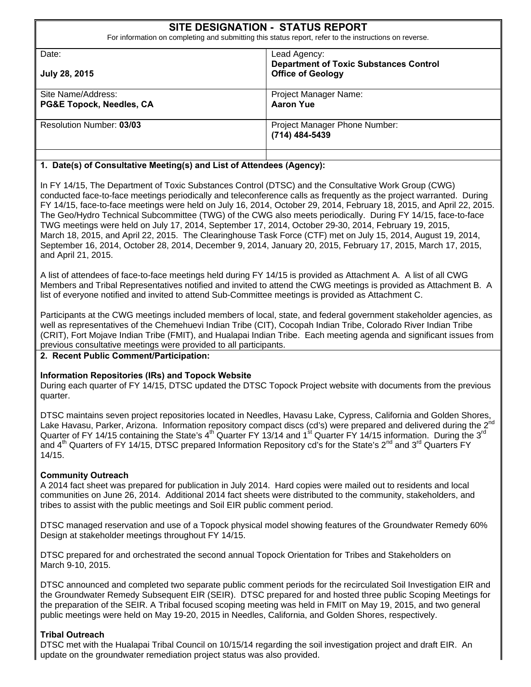|                                 | <b>SITE DESIGNATION - STATUS REPORT</b><br>For information on completing and submitting this status report, refer to the instructions on reverse. |
|---------------------------------|---------------------------------------------------------------------------------------------------------------------------------------------------|
| Date:                           | Lead Agency:                                                                                                                                      |
| July 28, 2015                   | <b>Department of Toxic Substances Control</b><br><b>Office of Geology</b>                                                                         |
| Site Name/Address:              | Project Manager Name:                                                                                                                             |
| PG&E Topock, Needles, CA        | <b>Aaron Yue</b>                                                                                                                                  |
| <b>Resolution Number: 03/03</b> | Project Manager Phone Number:<br>(714) 484-5439                                                                                                   |
|                                 |                                                                                                                                                   |

#### **1. Date(s) of Consultative Meeting(s) and List of Attendees (Agency):**

TWG meetings were held on July 17, 2014, September 17, 2014, October 29-30, 2014, February 19, 2015, In FY 14/15, The Department of Toxic Substances Control (DTSC) and the Consultative Work Group (CWG) conducted face-to-face meetings periodically and teleconference calls as frequently as the project warranted. During FY 14/15, face-to-face meetings were held on July 16, 2014, October 29, 2014, February 18, 2015, and April 22, 2015. The Geo/Hydro Technical Subcommittee (TWG) of the CWG also meets periodically. During FY 14/15, face-to-face March 18, 2015, and April 22, 2015. The Clearinghouse Task Force (CTF) met on July 15, 2014, August 19, 2014, September 16, 2014, October 28, 2014, December 9, 2014, January 20, 2015, February 17, 2015, March 17, 2015, and April 21, 2015.

A list of attendees of face-to-face meetings held during FY 14/15 is provided as Attachment A. A list of all CWG Members and Tribal Representatives notified and invited to attend the CWG meetings is provided as Attachment B. A list of everyone notified and invited to attend Sub-Committee meetings is provided as Attachment C.

Participants at the CWG meetings included members of local, state, and federal government stakeholder agencies, as well as representatives of the Chemehuevi Indian Tribe (CIT), Cocopah Indian Tribe, Colorado River Indian Tribe (CRIT), Fort Mojave Indian Tribe (FMIT), and Hualapai Indian Tribe. Each meeting agenda and significant issues from previous consultative meetings were provided to all participants.

#### **2. Recent Public Comment/Participation:**

#### **Information Repositories (IRs) and Topock Website**

During each quarter of FY 14/15, DTSC updated the DTSC Topock Project website with documents from the previous quarter.

DTSC maintains seven project repositories located in Needles, Havasu Lake, Cypress, California and Golden Shores, Lake Havasu, Parker, Arizona. Information repository compact discs (cd's) were prepared and delivered during the 2<sup>nd</sup> Quarter of FY 14/15 containing the State's  $4^{th}$  Quarter FY 13/14 and 1<sup>st</sup> Quarter FY 14/15 information. During the 3<sup>rd</sup> and  $4^{th}$  Quarters of FY 14/15, DTSC prepared Information Repository cd's for the State's  $2^{nd}$  and  $3^{rd}$  Quarters FY 14/15.

#### **Community Outreach**

A 2014 fact sheet was prepared for publication in July 2014. Hard copies were mailed out to residents and local communities on June 26, 2014. Additional 2014 fact sheets were distributed to the community, stakeholders, and tribes to assist with the public meetings and Soil EIR public comment period.

DTSC managed reservation and use of a Topock physical model showing features of the Groundwater Remedy 60% Design at stakeholder meetings throughout FY 14/15.

DTSC prepared for and orchestrated the second annual Topock Orientation for Tribes and Stakeholders on<br>March 9-10, 2015.

DTSC announced and completed two separate public comment periods for the recirculated Soil Investigation EIR and the Groundwater Remedy Subsequent EIR (SEIR). DTSC prepared for and hosted three public Scoping Meetings for the preparation of the SEIR. A Tribal focused scoping meeting was held in FMIT on May 19, 2015, and two general public meetings were held on May 19-20, 2015 in Needles, California, and Golden Shores, respectively.

#### **Tribal Outreach**

DTSC met with the Hualapai Tribal Council on 10/15/14 regarding the soil investigation project and draft EIR. An update on the groundwater remediation project status was also provided.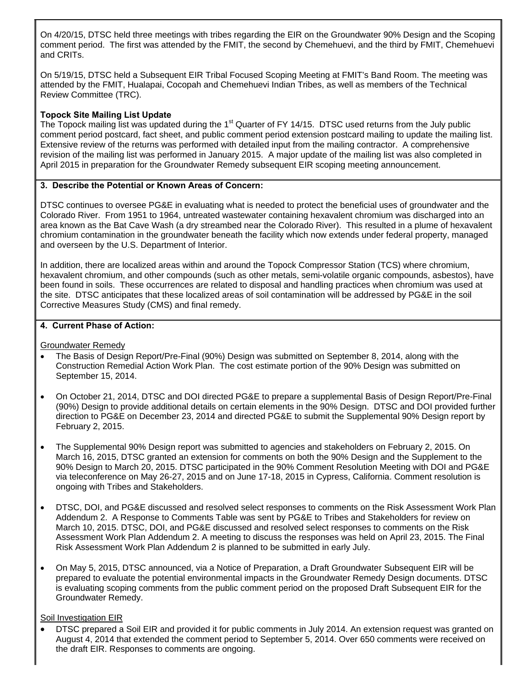On 4/20/15, DTSC held three meetings with tribes regarding the EIR on the Groundwater 90% Design and the Scoping comment period. The first was attended by the FMIT, the second by Chemehuevi, and the third by FMIT, Chemehuevi and CRITs.

On 5/19/15, DTSC held a Subsequent EIR Tribal Focused Scoping Meeting at FMIT's Band Room. The meeting was attended by the FMIT, Hualapai, Cocopah and Chemehuevi Indian Tribes, as well as members of the Technical Review Committee (TRC).

#### **Topock Site Mailing List Update**

The Topock mailing list was updated during the 1<sup>st</sup> Quarter of FY 14/15. DTSC used returns from the July public comment period postcard, fact sheet, and public comment period extension postcard mailing to update the mailing list. Extensive review of the returns was performed with detailed input from the mailing contractor. A comprehensive revision of the mailing list was performed in January 2015. A major update of the mailing list was also completed in April 2015 in preparation for the Groundwater Remedy subsequent EIR scoping meeting announcement.

#### **3. Describe the Potential or Known Areas of Concern:**

DTSC continues to oversee PG&E in evaluating what is needed to protect the beneficial uses of groundwater and the Colorado River. From 1951 to 1964, untreated wastewater containing hexavalent chromium was discharged into an area known as the Bat Cave Wash (a dry streambed near the Colorado River). This resulted in a plume of hexavalent chromium contamination in the groundwater beneath the facility which now extends under federal property, managed and overseen by the U.S. Department of Interior.

In addition, there are localized areas within and around the Topock Compressor Station (TCS) where chromium, hexavalent chromium, and other compounds (such as other metals, semi-volatile organic compounds, asbestos), have been found in soils. These occurrences are related to disposal and handling practices when chromium was used at the site. DTSC anticipates that these localized areas of soil contamination will be addressed by PG&E in the soil Corrective Measures Study (CMS) and final remedy.

#### **4. Current Phase of Action:**

Groundwater Remedy

- The Basis of Design Report/Pre-Final (90%) Design was submitted on September 8, 2014, along with the Construction Remedial Action Work Plan. The cost estimate portion of the 90% Design was submitted on September 15, 2014.
- On October 21, 2014, DTSC and DOI directed PG&E to prepare a supplemental Basis of Design Report/Pre-Final (90%) Design to provide additional details on certain elements in the 90% Design. DTSC and DOI provided further direction to PG&E on December 23, 2014 and directed PG&E to submit the Supplemental 90% Design report by February 2, 2015.
- The Supplemental 90% Design report was submitted to agencies and stakeholders on February 2, 2015. On March 16, 2015, DTSC granted an extension for comments on both the 90% Design and the Supplement to the 90% Design to March 20, 2015. DTSC participated in the 90% Comment Resolution Meeting with DOI and PG&E via teleconference on May 26-27, 2015 and on June 17-18, 2015 in Cypress, California. Comment resolution is ongoing with Tribes and Stakeholders.
- DTSC, DOI, and PG&E discussed and resolved select responses to comments on the Risk Assessment Work Plan Addendum 2. A Response to Comments Table was sent by PG&E to Tribes and Stakeholders for review on March 10, 2015. DTSC, DOI, and PG&E discussed and resolved select responses to comments on the Risk Assessment Work Plan Addendum 2. A meeting to discuss the responses was held on April 23, 2015. The Final Risk Assessment Work Plan Addendum 2 is planned to be submitted in early July.
- On May 5, 2015, DTSC announced, via a Notice of Preparation, a Draft Groundwater Subsequent EIR will be prepared to evaluate the potential environmental impacts in the Groundwater Remedy Design documents. DTSC is evaluating scoping comments from the public comment period on the proposed Draft Subsequent EIR for the Groundwater Remedy.

#### Soil Investigation EIR

 DTSC prepared a Soil EIR and provided it for public comments in July 2014. An extension request was granted on August 4, 2014 that extended the comment period to September 5, 2014. Over 650 comments were received on the draft EIR. Responses to comments are ongoing.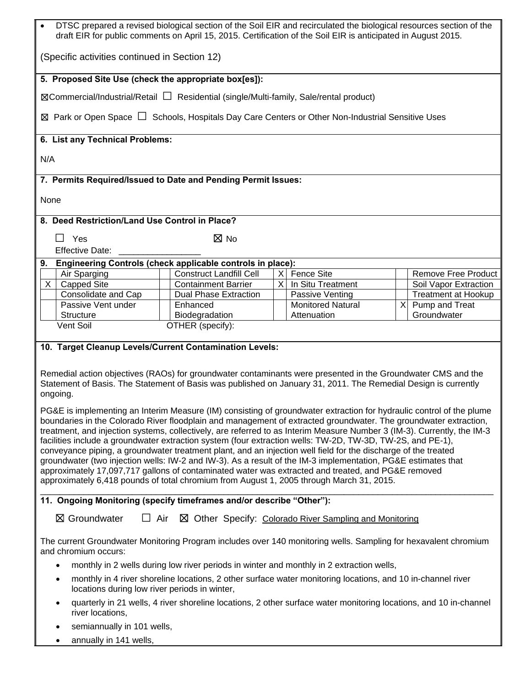| DTSC prepared a revised biological section of the Soil EIR and recirculated the biological resources section of the<br>draft EIR for public comments on April 15, 2015. Certification of the Soil EIR is anticipated in August 2015.                                                                                                                                                                                                                                                                                                                                                                                                                                                                                                                                                                                                                                                                                               |                                                            |  |                          |  |                            |
|------------------------------------------------------------------------------------------------------------------------------------------------------------------------------------------------------------------------------------------------------------------------------------------------------------------------------------------------------------------------------------------------------------------------------------------------------------------------------------------------------------------------------------------------------------------------------------------------------------------------------------------------------------------------------------------------------------------------------------------------------------------------------------------------------------------------------------------------------------------------------------------------------------------------------------|------------------------------------------------------------|--|--------------------------|--|----------------------------|
| (Specific activities continued in Section 12)                                                                                                                                                                                                                                                                                                                                                                                                                                                                                                                                                                                                                                                                                                                                                                                                                                                                                      |                                                            |  |                          |  |                            |
| 5. Proposed Site Use (check the appropriate box[es]):                                                                                                                                                                                                                                                                                                                                                                                                                                                                                                                                                                                                                                                                                                                                                                                                                                                                              |                                                            |  |                          |  |                            |
| ⊠Commercial/Industrial/Retail □ Residential (single/Multi-family, Sale/rental product)                                                                                                                                                                                                                                                                                                                                                                                                                                                                                                                                                                                                                                                                                                                                                                                                                                             |                                                            |  |                          |  |                            |
| ⊠ Park or Open Space $□$ Schools, Hospitals Day Care Centers or Other Non-Industrial Sensitive Uses                                                                                                                                                                                                                                                                                                                                                                                                                                                                                                                                                                                                                                                                                                                                                                                                                                |                                                            |  |                          |  |                            |
| 6. List any Technical Problems:                                                                                                                                                                                                                                                                                                                                                                                                                                                                                                                                                                                                                                                                                                                                                                                                                                                                                                    |                                                            |  |                          |  |                            |
| N/A                                                                                                                                                                                                                                                                                                                                                                                                                                                                                                                                                                                                                                                                                                                                                                                                                                                                                                                                |                                                            |  |                          |  |                            |
| 7. Permits Required/Issued to Date and Pending Permit Issues:                                                                                                                                                                                                                                                                                                                                                                                                                                                                                                                                                                                                                                                                                                                                                                                                                                                                      |                                                            |  |                          |  |                            |
| None                                                                                                                                                                                                                                                                                                                                                                                                                                                                                                                                                                                                                                                                                                                                                                                                                                                                                                                               |                                                            |  |                          |  |                            |
| 8. Deed Restriction/Land Use Control in Place?                                                                                                                                                                                                                                                                                                                                                                                                                                                                                                                                                                                                                                                                                                                                                                                                                                                                                     |                                                            |  |                          |  |                            |
| $\Box$ Yes                                                                                                                                                                                                                                                                                                                                                                                                                                                                                                                                                                                                                                                                                                                                                                                                                                                                                                                         | ⊠ No                                                       |  |                          |  |                            |
| <b>Effective Date:</b>                                                                                                                                                                                                                                                                                                                                                                                                                                                                                                                                                                                                                                                                                                                                                                                                                                                                                                             |                                                            |  |                          |  |                            |
| 9.                                                                                                                                                                                                                                                                                                                                                                                                                                                                                                                                                                                                                                                                                                                                                                                                                                                                                                                                 | Engineering Controls (check applicable controls in place): |  |                          |  |                            |
| Air Sparging                                                                                                                                                                                                                                                                                                                                                                                                                                                                                                                                                                                                                                                                                                                                                                                                                                                                                                                       | <b>Construct Landfill Cell</b>                             |  | X Fence Site             |  | Remove Free Product        |
| X<br><b>Capped Site</b>                                                                                                                                                                                                                                                                                                                                                                                                                                                                                                                                                                                                                                                                                                                                                                                                                                                                                                            | <b>Containment Barrier</b>                                 |  | X In Situ Treatment      |  | Soil Vapor Extraction      |
| Consolidate and Cap                                                                                                                                                                                                                                                                                                                                                                                                                                                                                                                                                                                                                                                                                                                                                                                                                                                                                                                | <b>Dual Phase Extraction</b>                               |  | Passive Venting          |  | <b>Treatment at Hookup</b> |
| Passive Vent under                                                                                                                                                                                                                                                                                                                                                                                                                                                                                                                                                                                                                                                                                                                                                                                                                                                                                                                 | Enhanced                                                   |  | <b>Monitored Natural</b> |  | X Pump and Treat           |
| <b>Structure</b><br>Vent Soil                                                                                                                                                                                                                                                                                                                                                                                                                                                                                                                                                                                                                                                                                                                                                                                                                                                                                                      | Biodegradation<br>OTHER (specify):                         |  | Attenuation              |  | Groundwater                |
| 10. Target Cleanup Levels/Current Contamination Levels:<br>Remedial action objectives (RAOs) for groundwater contaminants were presented in the Groundwater CMS and the<br>Statement of Basis. The Statement of Basis was published on January 31, 2011. The Remedial Design is currently                                                                                                                                                                                                                                                                                                                                                                                                                                                                                                                                                                                                                                          |                                                            |  |                          |  |                            |
| ongoing.<br>PG&E is implementing an Interim Measure (IM) consisting of groundwater extraction for hydraulic control of the plume<br>boundaries in the Colorado River floodplain and management of extracted groundwater. The groundwater extraction,<br>treatment, and injection systems, collectively, are referred to as Interim Measure Number 3 (IM-3). Currently, the IM-3<br>facilities include a groundwater extraction system (four extraction wells: TW-2D, TW-3D, TW-2S, and PE-1),<br>conveyance piping, a groundwater treatment plant, and an injection well field for the discharge of the treated<br>groundwater (two injection wells: IW-2 and IW-3). As a result of the IM-3 implementation, PG&E estimates that<br>approximately 17,097,717 gallons of contaminated water was extracted and treated, and PG&E removed<br>approximately 6,418 pounds of total chromium from August 1, 2005 through March 31, 2015. |                                                            |  |                          |  |                            |
| 11. Ongoing Monitoring (specify timeframes and/or describe "Other"):                                                                                                                                                                                                                                                                                                                                                                                                                                                                                                                                                                                                                                                                                                                                                                                                                                                               |                                                            |  |                          |  |                            |
| ⊠ Groundwater<br>$\Box$ Air<br>$\boxtimes$ Other Specify: Colorado River Sampling and Monitoring                                                                                                                                                                                                                                                                                                                                                                                                                                                                                                                                                                                                                                                                                                                                                                                                                                   |                                                            |  |                          |  |                            |
| The current Groundwater Monitoring Program includes over 140 monitoring wells. Sampling for hexavalent chromium<br>and chromium occurs:                                                                                                                                                                                                                                                                                                                                                                                                                                                                                                                                                                                                                                                                                                                                                                                            |                                                            |  |                          |  |                            |
| monthly in 2 wells during low river periods in winter and monthly in 2 extraction wells,                                                                                                                                                                                                                                                                                                                                                                                                                                                                                                                                                                                                                                                                                                                                                                                                                                           |                                                            |  |                          |  |                            |
| monthly in 4 river shoreline locations, 2 other surface water monitoring locations, and 10 in-channel river<br>٠<br>locations during low river periods in winter,                                                                                                                                                                                                                                                                                                                                                                                                                                                                                                                                                                                                                                                                                                                                                                  |                                                            |  |                          |  |                            |
| quarterly in 21 wells, 4 river shoreline locations, 2 other surface water monitoring locations, and 10 in-channel<br>river locations,                                                                                                                                                                                                                                                                                                                                                                                                                                                                                                                                                                                                                                                                                                                                                                                              |                                                            |  |                          |  |                            |
| semiannually in 101 wells,                                                                                                                                                                                                                                                                                                                                                                                                                                                                                                                                                                                                                                                                                                                                                                                                                                                                                                         |                                                            |  |                          |  |                            |
| annually in 141 wells,                                                                                                                                                                                                                                                                                                                                                                                                                                                                                                                                                                                                                                                                                                                                                                                                                                                                                                             |                                                            |  |                          |  |                            |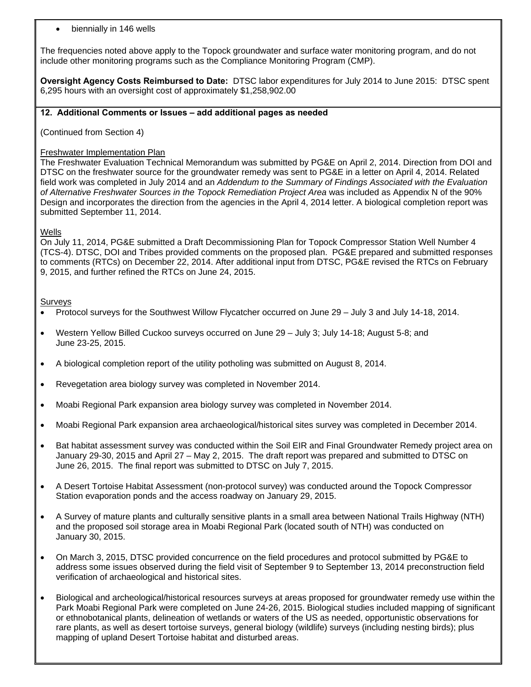#### biennially in 146 wells

The frequencies noted above apply to the Topock groundwater and surface water monitoring program, and do not include other monitoring programs such as the Compliance Monitoring Program (CMP).

**Oversight Agency Costs Reimbursed to Date:** DTSC labor expenditures for July 2014 to June 2015: DTSC spent 6,295 hours with an oversight cost of approximately \$1,258,902.00

#### **12. Additional Comments or Issues – add additional pages as needed**

(Continued from Section 4)

#### Freshwater Implementation Plan

The Freshwater Evaluation Technical Memorandum was submitted by PG&E on April 2, 2014. Direction from DOI and DTSC on the freshwater source for the groundwater remedy was sent to PG&E in a letter on April 4, 2014. Related field work was completed in July 2014 and an *Addendum to the Summary of Findings Associated with the Evaluation of Alternative Freshwater Sources in the Topock Remediation Project Area* was included as Appendix N of the 90% Design and incorporates the direction from the agencies in the April 4, 2014 letter. A biological completion report was submitted September 11, 2014.

#### **Wells**

On July 11, 2014, PG&E submitted a Draft Decommissioning Plan for Topock Compressor Station Well Number 4 (TCS-4). DTSC, DOI and Tribes provided comments on the proposed plan. PG&E prepared and submitted responses to comments (RTCs) on December 22, 2014. After additional input from DTSC, PG&E revised the RTCs on February 9, 2015, and further refined the RTCs on June 24, 2015.

#### **Surveys**

- Protocol surveys for the Southwest Willow Flycatcher occurred on June 29 July 3 and July 14-18, 2014.
- Western Yellow Billed Cuckoo surveys occurred on June 29 July 3; July 14-18; August 5-8; and June 23-25, 2015.
- A biological completion report of the utility potholing was submitted on August 8, 2014.
- Revegetation area biology survey was completed in November 2014.
- Moabi Regional Park expansion area biology survey was completed in November 2014.
- Moabi Regional Park expansion area archaeological/historical sites survey was completed in December 2014.
- January 29-30, 2015 and April 27 May 2, 2015. The draft report was prepared and submitted to DTSC on<br>June 26, 2015. The final report was submitted to DTSC on July 7, 2015. Bat habitat assessment survey was conducted within the Soil EIR and Final Groundwater Remedy project area on
- A Desert Tortoise Habitat Assessment (non-protocol survey) was conducted around the Topock Compressor Station evaporation ponds and the access roadway on January 29, 2015.
- A Survey of mature plants and culturally sensitive plants in a small area between National Trails Highway (NTH) and the proposed soil storage area in Moabi Regional Park (located south of NTH) was conducted on January 30, 2015.
- On March 3, 2015, DTSC provided concurrence on the field procedures and protocol submitted by PG&E to address some issues observed during the field visit of September 9 to September 13, 2014 preconstruction field verification of archaeological and historical sites.
- Biological and archeological/historical resources surveys at areas proposed for groundwater remedy use within the Park Moabi Regional Park were completed on June 24-26, 2015. Biological studies included mapping of significant or ethnobotanical plants, delineation of wetlands or waters of the US as needed, opportunistic observations for rare plants, as well as desert tortoise surveys, general biology (wildlife) surveys (including nesting birds); plus mapping of upland Desert Tortoise habitat and disturbed areas.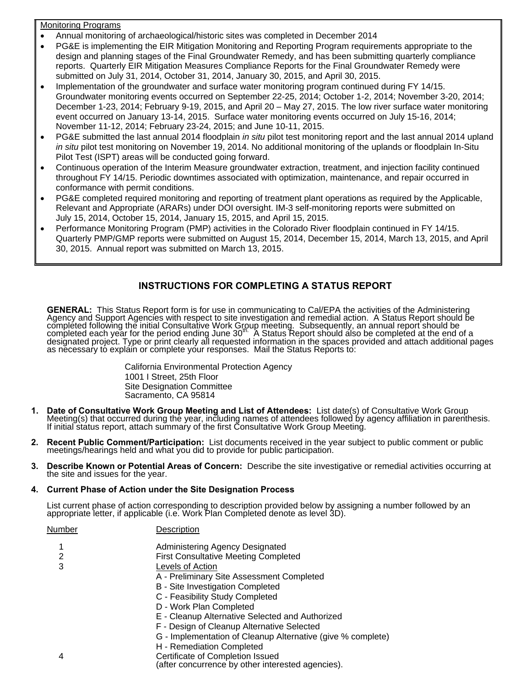#### Monitoring Programs

- Annual monitoring of archaeological/historic sites was completed in December 2014
- PG&E is implementing the EIR Mitigation Monitoring and Reporting Program requirements appropriate to the design and planning stages of the Final Groundwater Remedy, and has been submitting quarterly compliance reports. Quarterly EIR Mitigation Measures Compliance Reports for the Final Groundwater Remedy were submitted on July 31, 2014, October 31, 2014, January 30, 2015, and April 30, 2015.
- Implementation of the groundwater and surface water monitoring program continued during FY 14/15. Groundwater monitoring events occurred on September 22-25, 2014; October 1-2, 2014; November 3-20, 2014; December 1-23, 2014; February 9-19, 2015, and April 20 – May 27, 2015. The low river surface water monitoring event occurred on January 13-14, 2015. Surface water monitoring events occurred on July 15-16, 2014; November 11-12, 2014; February 23-24, 2015; and June 10-11, 2015.
- PG&E submitted the last annual 2014 floodplain *in situ* pilot test monitoring report and the last annual 2014 upland *in situ* pilot test monitoring on November 19, 2014. No additional monitoring of the uplands or floodplain In-Situ Pilot Test (ISPT) areas will be conducted going forward.
- Continuous operation of the Interim Measure groundwater extraction, treatment, and injection facility continued throughout FY 14/15. Periodic downtimes associated with optimization, maintenance, and repair occurred in conformance with permit conditions.
- PG&E completed required monitoring and reporting of treatment plant operations as required by the Applicable, Relevant and Appropriate (ARARs) under DOI oversight. IM-3 self-monitoring reports were submitted on July 15, 2014, October 15, 2014, January 15, 2015, and April 15, 2015.
- Performance Monitoring Program (PMP) activities in the Colorado River floodplain continued in FY 14/15. Quarterly PMP/GMP reports were submitted on August 15, 2014, December 15, 2014, March 13, 2015, and April 30, 2015. Annual report was submitted on March 13, 2015.

# **INSTRUCTIONS FOR COMPLETING A STATUS REPORT**

GENERAL: This Status Report form is for use in communicating to Cal/EPA the activities of the Administering Agency and Support Agencies with respect to site investigation and remedial action. A Status Report should be<br>completed following the initial Consultative Work Group meeting. Subsequently, an annual report should be<br>comple

> California Environmental Protection Agency 1001 I Street, 25th Floor Site Designation Committee Sacramento, CA 95814

- 1. Date of Consultative Work Group Meeting and List of Attendees: List date(s) of Consultative Work Group<br>Meeting(s) that occurred during the year, including names of attendees followed by agency affiliation in parenthesis
- **2. Recent Public Comment/Participation:** List documents received in the year subject to public comment or public meetings/hearings held and what you did to provide for public participation.
- **3. Describe Known or Potential Areas of Concern:** Describe the site investigative or remedial activities occurring at the site and issues for the year.

#### **4. Current Phase of Action under the Site Designation Process**

List current phase of action corresponding to description provided below by assigning a number followed by an appropriate letter, if applicable (i.e. Work Plan Completed denote as level 3D).

| Number | Description                                                 |
|--------|-------------------------------------------------------------|
|        | Administering Agency Designated                             |
| 2      | <b>First Consultative Meeting Completed</b>                 |
| 3      | Levels of Action                                            |
|        | A - Preliminary Site Assessment Completed                   |
|        | B - Site Investigation Completed                            |
|        | C - Feasibility Study Completed                             |
|        | D - Work Plan Completed                                     |
|        | E - Cleanup Alternative Selected and Authorized             |
|        | F - Design of Cleanup Alternative Selected                  |
|        | G - Implementation of Cleanup Alternative (give % complete) |
|        | H - Remediation Completed                                   |
| 4      | Certificate of Completion Issued                            |
|        | (after concurrence by other interested agencies).           |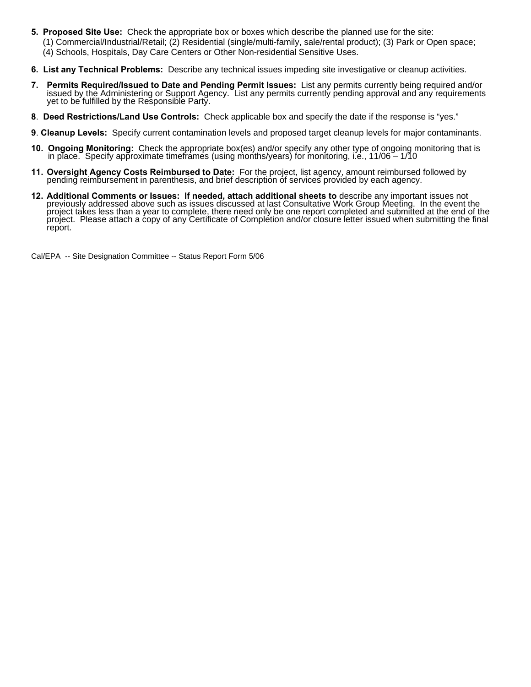- **5. Proposed Site Use:** Check the appropriate box or boxes which describe the planned use for the site:
	- (1) Commercial/Industrial/Retail; (2) Residential (single/multi-family, sale/rental product); (3) Park or Open space; (4) Schools, Hospitals, Day Care Centers or Other Non-residential Sensitive Uses.
- **6. List any Technical Problems:** Describe any technical issues impeding site investigative or cleanup activities.
- 7. Permits Required/Issued to Date and Pending Permit Issues: List any permits currently being required and/or issued by the Administering or Support Agency. List any permits currently pending approval and any requirements
- **8**. **Deed Restrictions/Land Use Controls:** Check applicable box and specify the date if the response is "yes."
- **9**. **Cleanup Levels:** Specify current contamination levels and proposed target cleanup levels for major contaminants.
- **10. Ongoing Monitoring:** Check the appropriate box(es) and/or specify any other type of ongoing monitoring that is in place. Specify approximate timeframes (using months/years) for monitoring, i.e., 11/06 1/10
- **11. Oversight Agency Costs Reimbursed to Date:** For the project, list agency, amount reimbursed followed by pending reimbursement in parenthesis, and brief description of services provided by each agency.
- 12. Additional Comments or Issues: If needed, attach additional sheets to describe any important issues not<br>previously addressed above such as issues discussed at last Consultative Work Group Meeting. In the event the<br>proj project. Please attach a copy of any Certificate of Completion and/or closure letter issued when submitting the final report.

Cal/EPA -- Site Designation Committee -- Status Report Form 5/06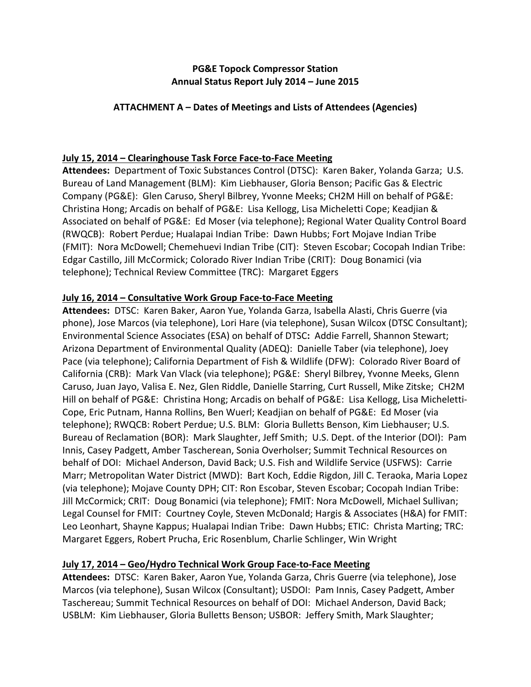# **PG&E Topock Compressor Station Annual Status Report July 2014 – June 2015**

## **ATTACHMENT A – Dates of Meetings and Lists of Attendees (Agencies)**

# **July 15, 2014 – Clearinghouse Task Force Face‐to‐Face Meeting**

 **Attendees:** Department of Toxic Substances Control (DTSC): Karen Baker, Yolanda Garza; U.S. Bureau of Land Management (BLM): Kim Liebhauser, Gloria Benson; Pacific Gas & Electric Company (PG&E): Glen Caruso, Sheryl Bilbrey, Yvonne Meeks; CH2M Hill on behalf of PG&E: Christina Hong; Arcadis on behalf of PG&E: Lisa Kellogg, Lisa Micheletti Cope; Keadjian & Associated on behalf of PG&E: Ed Moser (via telephone); Regional Water Quality Control Board (RWQCB): Robert Perdue; Hualapai Indian Tribe: Dawn Hubbs; Fort Mojave Indian Tribe (FMIT): Nora McDowell; Chemehuevi Indian Tribe (CIT): Steven Escobar; Cocopah Indian Tribe: Edgar Castillo, Jill McCormick; Colorado River Indian Tribe (CRIT): Doug Bonamici (via telephone); Technical Review Committee (TRC): Margaret Eggers

## **July 16, 2014 – Consultative Work Group Face‐to‐Face Meeting**

 **Attendees:** DTSC: Karen Baker, Aaron Yue, Yolanda Garza, Isabella Alasti, Chris Guerre (via phone), Jose Marcos (via telephone), Lori Hare (via telephone), Susan Wilcox (DTSC Consultant);  Environmental Science Associates (ESA) on behalf of DTSC**:** Addie Farrell, Shannon Stewart; Arizona Department of Environmental Quality (ADEQ): Danielle Taber (via telephone), Joey Pace (via telephone); California Department of Fish & Wildlife (DFW): Colorado River Board of California (CRB): Mark Van Vlack (via telephone); PG&E: Sheryl Bilbrey, Yvonne Meeks, Glenn Caruso, Juan Jayo, Valisa E. Nez, Glen Riddle, Danielle Starring, Curt Russell, Mike Zitske; CH2M Hill on behalf of PG&E: Christina Hong; Arcadis on behalf of PG&E: Lisa Kellogg, Lisa Micheletti‐ Cope, Eric Putnam, Hanna Rollins, Ben Wuerl; Keadjian on behalf of PG&E: Ed Moser (via telephone); RWQCB: Robert Perdue; U.S. BLM: Gloria Bulletts Benson, Kim Liebhauser; U.S. Bureau of Reclamation (BOR): Mark Slaughter, Jeff Smith; U.S. Dept. of the Interior (DOI): Pam Innis, Casey Padgett, Amber Tascherean, Sonia Overholser; Summit Technical Resources on behalf of DOI: Michael Anderson, David Back; U.S. Fish and Wildlife Service (USFWS): Carrie Marr; Metropolitan Water District (MWD): Bart Koch, Eddie Rigdon, Jill C. Teraoka, Maria Lopez (via telephone); Mojave County DPH; CIT: Ron Escobar, Steven Escobar; Cocopah Indian Tribe: Jill McCormick; CRIT: Doug Bonamici (via telephone); FMIT: Nora McDowell, Michael Sullivan; Legal Counsel for FMIT: Courtney Coyle, Steven McDonald; Hargis & Associates (H&A) for FMIT: Leo Leonhart, Shayne Kappus; Hualapai Indian Tribe: Dawn Hubbs; ETIC: Christa Marting; TRC: Margaret Eggers, Robert Prucha, Eric Rosenblum, Charlie Schlinger, Win Wright

# **July 17, 2014 – Geo/Hydro Technical Work Group Face‐to‐Face Meeting**

 **Attendees:** DTSC: Karen Baker, Aaron Yue, Yolanda Garza, Chris Guerre (via telephone), Jose Marcos (via telephone), Susan Wilcox (Consultant); USDOI: Pam Innis, Casey Padgett, Amber Taschereau; Summit Technical Resources on behalf of DOI: Michael Anderson, David Back; USBLM: Kim Liebhauser, Gloria Bulletts Benson; USBOR: Jeffery Smith, Mark Slaughter;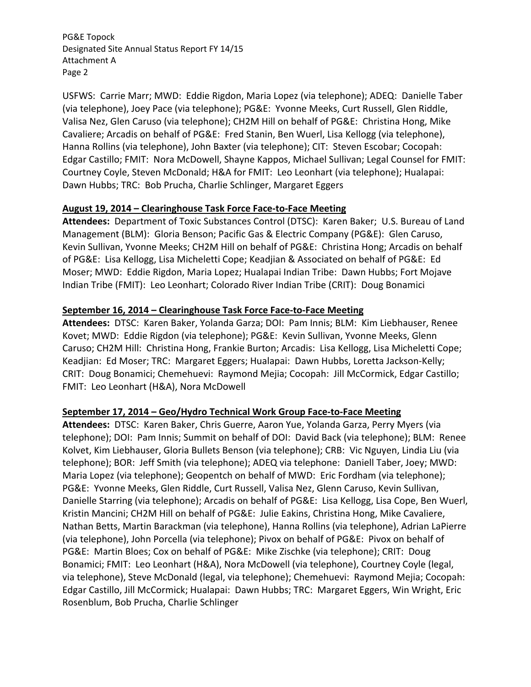USFWS: Carrie Marr; MWD: Eddie Rigdon, Maria Lopez (via telephone); ADEQ: Danielle Taber (via telephone), Joey Pace (via telephone); PG&E: Yvonne Meeks, Curt Russell, Glen Riddle, Valisa Nez, Glen Caruso (via telephone); CH2M Hill on behalf of PG&E: Christina Hong, Mike Cavaliere; Arcadis on behalf of PG&E: Fred Stanin, Ben Wuerl, Lisa Kellogg (via telephone), Hanna Rollins (via telephone), John Baxter (via telephone); CIT: Steven Escobar; Cocopah: Edgar Castillo; FMIT: Nora McDowell, Shayne Kappos, Michael Sullivan; Legal Counsel for FMIT: Courtney Coyle, Steven McDonald; H&A for FMIT: Leo Leonhart (via telephone); Hualapai: Dawn Hubbs; TRC: Bob Prucha, Charlie Schlinger, Margaret Eggers

### **August 19, 2014 – Clearinghouse Task Force Face‐to‐Face Meeting**

 **Attendees:** Department of Toxic Substances Control (DTSC): Karen Baker; U.S. Bureau of Land Management (BLM): Gloria Benson; Pacific Gas & Electric Company (PG&E): Glen Caruso, Kevin Sullivan, Yvonne Meeks; CH2M Hill on behalf of PG&E: Christina Hong; Arcadis on behalf of PG&E: Lisa Kellogg, Lisa Micheletti Cope; Keadjian & Associated on behalf of PG&E: Ed Moser; MWD: Eddie Rigdon, Maria Lopez; Hualapai Indian Tribe: Dawn Hubbs; Fort Mojave Indian Tribe (FMIT): Leo Leonhart; Colorado River Indian Tribe (CRIT): Doug Bonamici

## **September 16, 2014 – Clearinghouse Task Force Face‐to‐Face Meeting**

 **Attendees:** DTSC: Karen Baker, Yolanda Garza; DOI: Pam Innis; BLM: Kim Liebhauser, Renee Kovet; MWD: Eddie Rigdon (via telephone); PG&E: Kevin Sullivan, Yvonne Meeks, Glenn Caruso; CH2M Hill: Christina Hong, Frankie Burton; Arcadis: Lisa Kellogg, Lisa Micheletti Cope; Keadjian: Ed Moser; TRC: Margaret Eggers; Hualapai: Dawn Hubbs, Loretta Jackson‐Kelly; CRIT: Doug Bonamici; Chemehuevi: Raymond Mejia; Cocopah: Jill McCormick, Edgar Castillo; FMIT: Leo Leonhart (H&A), Nora McDowell

# **September 17, 2014 – Geo/Hydro Technical Work Group Face‐to‐Face Meeting**

 **Attendees:** DTSC: Karen Baker, Chris Guerre, Aaron Yue, Yolanda Garza, Perry Myers (via telephone); DOI: Pam Innis; Summit on behalf of DOI: David Back (via telephone); BLM: Renee Kolvet, Kim Liebhauser, Gloria Bullets Benson (via telephone); CRB: Vic Nguyen, Lindia Liu (via telephone); BOR: Jeff Smith (via telephone); ADEQ via telephone: Daniell Taber, Joey; MWD: Maria Lopez (via telephone); Geopentch on behalf of MWD: Eric Fordham (via telephone); PG&E: Yvonne Meeks, Glen Riddle, Curt Russell, Valisa Nez, Glenn Caruso, Kevin Sullivan, Danielle Starring (via telephone); Arcadis on behalf of PG&E: Lisa Kellogg, Lisa Cope, Ben Wuerl, Kristin Mancini; CH2M Hill on behalf of PG&E: Julie Eakins, Christina Hong, Mike Cavaliere, Nathan Betts, Martin Barackman (via telephone), Hanna Rollins (via telephone), Adrian LaPierre (via telephone), John Porcella (via telephone); Pivox on behalf of PG&E: Pivox on behalf of PG&E: Martin Bloes; Cox on behalf of PG&E: Mike Zischke (via telephone); CRIT: Doug Bonamici; FMIT: Leo Leonhart (H&A), Nora McDowell (via telephone), Courtney Coyle (legal, via telephone), Steve McDonald (legal, via telephone); Chemehuevi: Raymond Mejia; Cocopah: Edgar Castillo, Jill McCormick; Hualapai: Dawn Hubbs; TRC: Margaret Eggers, Win Wright, Eric Rosenblum, Bob Prucha, Charlie Schlinger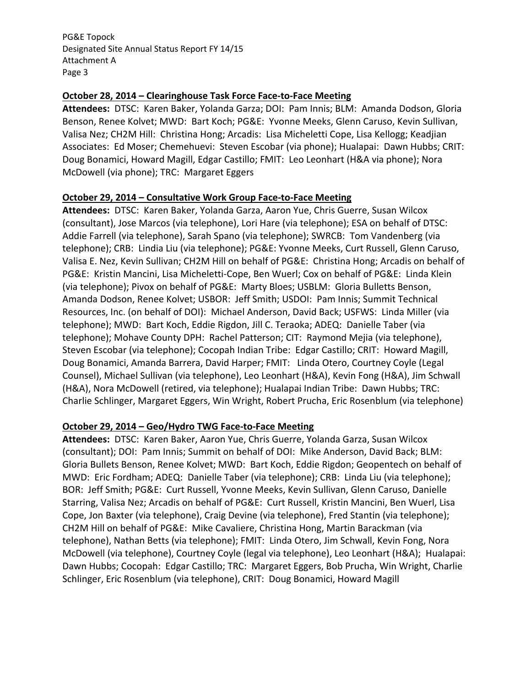### **October 28, 2014 – Clearinghouse Task Force Face‐to‐Face Meeting**

 **Attendees:** DTSC: Karen Baker, Yolanda Garza; DOI: Pam Innis; BLM: Amanda Dodson, Gloria Benson, Renee Kolvet; MWD: Bart Koch; PG&E: Yvonne Meeks, Glenn Caruso, Kevin Sullivan, Valisa Nez; CH2M Hill: Christina Hong; Arcadis: Lisa Micheletti Cope, Lisa Kellogg; Keadjian Associates: Ed Moser; Chemehuevi: Steven Escobar (via phone); Hualapai: Dawn Hubbs; CRIT: Doug Bonamici, Howard Magill, Edgar Castillo; FMIT: Leo Leonhart (H&A via phone); Nora McDowell (via phone); TRC: Margaret Eggers

## **October 29, 2014 – Consultative Work Group Face‐to‐Face Meeting**

 **Attendees:** DTSC: Karen Baker, Yolanda Garza, Aaron Yue, Chris Guerre, Susan Wilcox (consultant), Jose Marcos (via telephone), Lori Hare (via telephone); ESA on behalf of DTSC: Addie Farrell (via telephone), Sarah Spano (via telephone); SWRCB: Tom Vandenberg (via telephone); CRB: Lindia Liu (via telephone); PG&E: Yvonne Meeks, Curt Russell, Glenn Caruso, Valisa E. Nez, Kevin Sullivan; CH2M Hill on behalf of PG&E: Christina Hong; Arcadis on behalf of PG&E: Kristin Mancini, Lisa Micheletti‐Cope, Ben Wuerl; Cox on behalf of PG&E: Linda Klein (via telephone); Pivox on behalf of PG&E: Marty Bloes; USBLM: Gloria Bulletts Benson, Amanda Dodson, Renee Kolvet; USBOR: Jeff Smith; USDOI: Pam Innis; Summit Technical Resources, Inc. (on behalf of DOI): Michael Anderson, David Back; USFWS: Linda Miller (via telephone); MWD: Bart Koch, Eddie Rigdon, Jill C. Teraoka; ADEQ: Danielle Taber (via telephone); Mohave County DPH: Rachel Patterson; CIT: Raymond Mejia (via telephone), Steven Escobar (via telephone); Cocopah Indian Tribe: Edgar Castillo; CRIT: Howard Magill, Doug Bonamici, Amanda Barrera, David Harper; FMIT: Linda Otero, Courtney Coyle (Legal Counsel), Michael Sullivan (via telephone), Leo Leonhart (H&A), Kevin Fong (H&A), Jim Schwall  (H&A), Nora McDowell (retired, via telephone); Hualapai Indian Tribe: Dawn Hubbs; TRC: Charlie Schlinger, Margaret Eggers, Win Wright, Robert Prucha, Eric Rosenblum (via telephone)

### **October 29, 2014 – Geo/Hydro TWG Face‐to‐Face Meeting**

 **Attendees:** DTSC: Karen Baker, Aaron Yue, Chris Guerre, Yolanda Garza, Susan Wilcox (consultant); DOI: Pam Innis; Summit on behalf of DOI: Mike Anderson, David Back; BLM: Gloria Bullets Benson, Renee Kolvet; MWD: Bart Koch, Eddie Rigdon; Geopentech on behalf of MWD: Eric Fordham; ADEQ: Danielle Taber (via telephone); CRB: Linda Liu (via telephone); BOR: Jeff Smith; PG&E: Curt Russell, Yvonne Meeks, Kevin Sullivan, Glenn Caruso, Danielle Starring, Valisa Nez; Arcadis on behalf of PG&E: Curt Russell, Kristin Mancini, Ben Wuerl, Lisa Cope, Jon Baxter (via telephone), Craig Devine (via telephone), Fred Stantin (via telephone); CH2M Hill on behalf of PG&E: Mike Cavaliere, Christina Hong, Martin Barackman (via telephone), Nathan Betts (via telephone); FMIT: Linda Otero, Jim Schwall, Kevin Fong, Nora McDowell (via telephone), Courtney Coyle (legal via telephone), Leo Leonhart (H&A); Hualapai: Dawn Hubbs; Cocopah: Edgar Castillo; TRC: Margaret Eggers, Bob Prucha, Win Wright, Charlie Schlinger, Eric Rosenblum (via telephone), CRIT: Doug Bonamici, Howard Magill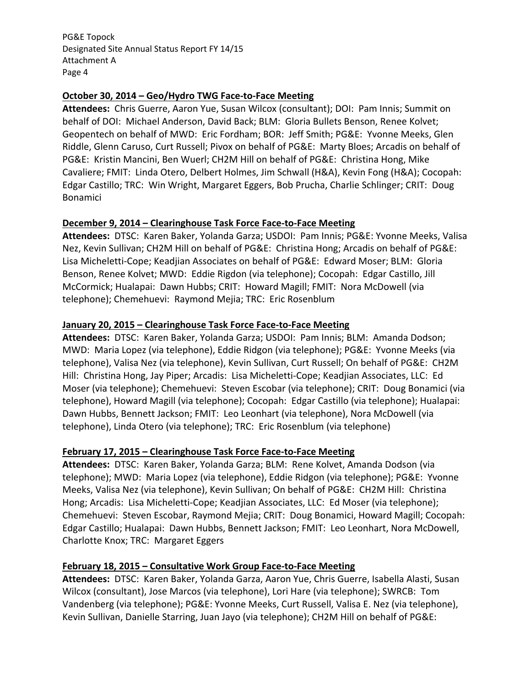## **October 30, 2014 – Geo/Hydro TWG Face‐to‐Face Meeting**

 **Attendees:** Chris Guerre, Aaron Yue, Susan Wilcox (consultant); DOI: Pam Innis; Summit on behalf of DOI: Michael Anderson, David Back; BLM: Gloria Bullets Benson, Renee Kolvet; Geopentech on behalf of MWD: Eric Fordham; BOR: Jeff Smith; PG&E: Yvonne Meeks, Glen Riddle, Glenn Caruso, Curt Russell; Pivox on behalf of PG&E: Marty Bloes; Arcadis on behalf of PG&E: Kristin Mancini, Ben Wuerl; CH2M Hill on behalf of PG&E: Christina Hong, Mike Cavaliere; FMIT: Linda Otero, Delbert Holmes, Jim Schwall (H&A), Kevin Fong (H&A); Cocopah: Edgar Castillo; TRC: Win Wright, Margaret Eggers, Bob Prucha, Charlie Schlinger; CRIT: Doug Bonamici

# **December 9, 2014 – Clearinghouse Task Force Face‐to‐Face Meeting**

 **Attendees:** DTSC: Karen Baker, Yolanda Garza; USDOI: Pam Innis; PG&E: Yvonne Meeks, Valisa Nez, Kevin Sullivan; CH2M Hill on behalf of PG&E: Christina Hong; Arcadis on behalf of PG&E: Lisa Micheletti‐Cope; Keadjian Associates on behalf of PG&E: Edward Moser; BLM: Gloria Benson, Renee Kolvet; MWD: Eddie Rigdon (via telephone); Cocopah: Edgar Castillo, Jill McCormick; Hualapai: Dawn Hubbs; CRIT: Howard Magill; FMIT: Nora McDowell (via telephone); Chemehuevi: Raymond Mejia; TRC: Eric Rosenblum

# **January 20, 2015 – Clearinghouse Task Force Face‐to‐Face Meeting**

 **Attendees:** DTSC: Karen Baker, Yolanda Garza; USDOI: Pam Innis; BLM: Amanda Dodson; MWD: Maria Lopez (via telephone), Eddie Ridgon (via telephone); PG&E: Yvonne Meeks (via telephone), Valisa Nez (via telephone), Kevin Sullivan, Curt Russell; On behalf of PG&E: CH2M Hill: Christina Hong, Jay Piper; Arcadis: Lisa Micheletti‐Cope; Keadjian Associates, LLC: Ed Moser (via telephone); Chemehuevi: Steven Escobar (via telephone); CRIT: Doug Bonamici (via telephone), Howard Magill (via telephone); Cocopah: Edgar Castillo (via telephone); Hualapai: Dawn Hubbs, Bennett Jackson; FMIT: Leo Leonhart (via telephone), Nora McDowell (via telephone), Linda Otero (via telephone); TRC: Eric Rosenblum (via telephone)

### **February 17, 2015 – Clearinghouse Task Force Face‐to‐Face Meeting**

 **Attendees:** DTSC: Karen Baker, Yolanda Garza; BLM: Rene Kolvet, Amanda Dodson (via telephone); MWD: Maria Lopez (via telephone), Eddie Ridgon (via telephone); PG&E: Yvonne Meeks, Valisa Nez (via telephone), Kevin Sullivan; On behalf of PG&E: CH2M Hill: Christina Hong; Arcadis: Lisa Micheletti‐Cope; Keadjian Associates, LLC: Ed Moser (via telephone); Chemehuevi: Steven Escobar, Raymond Mejia; CRIT: Doug Bonamici, Howard Magill; Cocopah: Edgar Castillo; Hualapai: Dawn Hubbs, Bennett Jackson; FMIT: Leo Leonhart, Nora McDowell, Charlotte Knox; TRC: Margaret Eggers

### **February 18, 2015 – Consultative Work Group Face‐to‐Face Meeting**

 **Attendees:** DTSC: Karen Baker, Yolanda Garza, Aaron Yue, Chris Guerre, Isabella Alasti, Susan Wilcox (consultant), Jose Marcos (via telephone), Lori Hare (via telephone); SWRCB: Tom Vandenberg (via telephone); PG&E: Yvonne Meeks, Curt Russell, Valisa E. Nez (via telephone), Kevin Sullivan, Danielle Starring, Juan Jayo (via telephone); CH2M Hill on behalf of PG&E: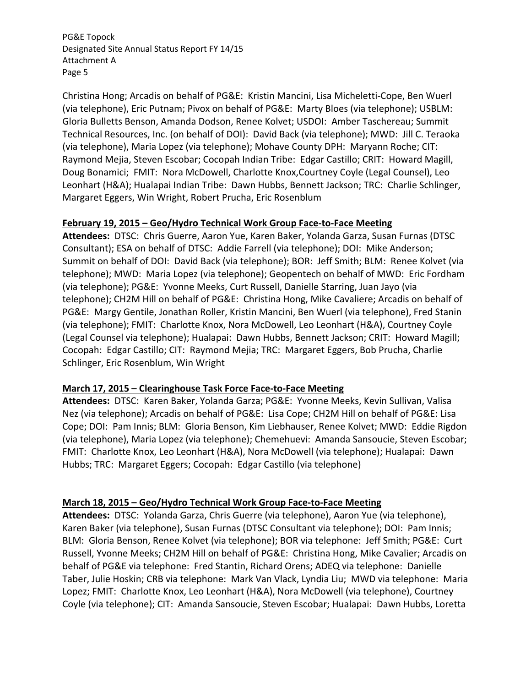Christina Hong; Arcadis on behalf of PG&E: Kristin Mancini, Lisa Micheletti‐Cope, Ben Wuerl (via telephone), Eric Putnam; Pivox on behalf of PG&E: Marty Bloes (via telephone); USBLM: Gloria Bulletts Benson, Amanda Dodson, Renee Kolvet; USDOI: Amber Taschereau; Summit Technical Resources, Inc. (on behalf of DOI): David Back (via telephone); MWD: Jill C. Teraoka (via telephone), Maria Lopez (via telephone); Mohave County DPH: Maryann Roche; CIT: Raymond Mejia, Steven Escobar; Cocopah Indian Tribe: Edgar Castillo; CRIT: Howard Magill, Doug Bonamici; FMIT: Nora McDowell, Charlotte Knox,Courtney Coyle (Legal Counsel), Leo  Leonhart (H&A); Hualapai Indian Tribe: Dawn Hubbs, Bennett Jackson; TRC: Charlie Schlinger, Margaret Eggers, Win Wright, Robert Prucha, Eric Rosenblum

## **February 19, 2015 – Geo/Hydro Technical Work Group Face‐to‐Face Meeting**

 **Attendees:** DTSC: Chris Guerre, Aaron Yue, Karen Baker, Yolanda Garza, Susan Furnas (DTSC Consultant); ESA on behalf of DTSC: Addie Farrell (via telephone); DOI: Mike Anderson; Summit on behalf of DOI: David Back (via telephone); BOR: Jeff Smith; BLM: Renee Kolvet (via telephone); MWD: Maria Lopez (via telephone); Geopentech on behalf of MWD: Eric Fordham (via telephone); PG&E: Yvonne Meeks, Curt Russell, Danielle Starring, Juan Jayo (via telephone); CH2M Hill on behalf of PG&E: Christina Hong, Mike Cavaliere; Arcadis on behalf of PG&E: Margy Gentile, Jonathan Roller, Kristin Mancini, Ben Wuerl (via telephone), Fred Stanin (via telephone); FMIT: Charlotte Knox, Nora McDowell, Leo Leonhart (H&A), Courtney Coyle (Legal Counsel via telephone); Hualapai: Dawn Hubbs, Bennett Jackson; CRIT: Howard Magill; Cocopah: Edgar Castillo; CIT: Raymond Mejia; TRC: Margaret Eggers, Bob Prucha, Charlie Schlinger, Eric Rosenblum, Win Wright

## **March 17, 2015 – Clearinghouse Task Force Face‐to‐Face Meeting**

 **Attendees:** DTSC: Karen Baker, Yolanda Garza; PG&E: Yvonne Meeks, Kevin Sullivan, Valisa Nez (via telephone); Arcadis on behalf of PG&E: Lisa Cope; CH2M Hill on behalf of PG&E: Lisa Cope; DOI: Pam Innis; BLM: Gloria Benson, Kim Liebhauser, Renee Kolvet; MWD: Eddie Rigdon (via telephone), Maria Lopez (via telephone); Chemehuevi: Amanda Sansoucie, Steven Escobar; FMIT: Charlotte Knox, Leo Leonhart (H&A), Nora McDowell (via telephone); Hualapai: Dawn Hubbs; TRC: Margaret Eggers; Cocopah: Edgar Castillo (via telephone)

### **March 18, 2015 – Geo/Hydro Technical Work Group Face‐to‐Face Meeting**

 **Attendees:** DTSC: Yolanda Garza, Chris Guerre (via telephone), Aaron Yue (via telephone), Karen Baker (via telephone), Susan Furnas (DTSC Consultant via telephone); DOI: Pam Innis; BLM: Gloria Benson, Renee Kolvet (via telephone); BOR via telephone: Jeff Smith; PG&E: Curt Russell, Yvonne Meeks; CH2M Hill on behalf of PG&E: Christina Hong, Mike Cavalier; Arcadis on behalf of PG&E via telephone: Fred Stantin, Richard Orens; ADEQ via telephone: Danielle Taber, Julie Hoskin; CRB via telephone: Mark Van Vlack, Lyndia Liu; MWD via telephone: Maria Lopez; FMIT: Charlotte Knox, Leo Leonhart (H&A), Nora McDowell (via telephone), Courtney Coyle (via telephone); CIT: Amanda Sansoucie, Steven Escobar; Hualapai: Dawn Hubbs, Loretta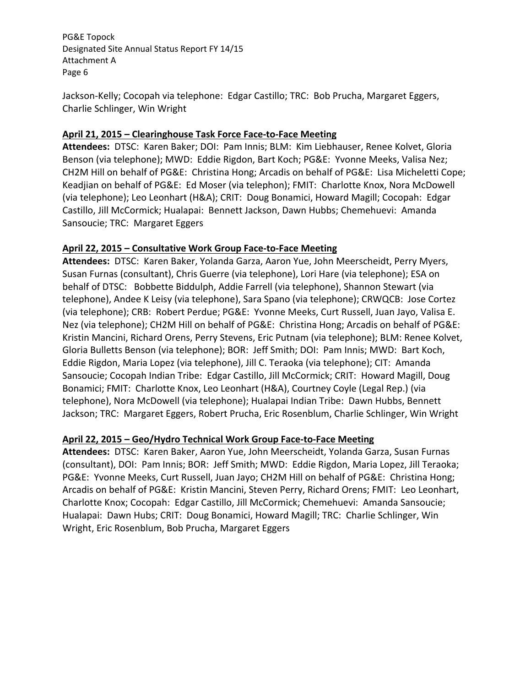Jackson‐Kelly; Cocopah via telephone: Edgar Castillo; TRC: Bob Prucha, Margaret Eggers, Charlie Schlinger, Win Wright

# **April 21, 2015 – Clearinghouse Task Force Face‐to‐Face Meeting**

 **Attendees:** DTSC: Karen Baker; DOI: Pam Innis; BLM: Kim Liebhauser, Renee Kolvet, Gloria Benson (via telephone); MWD: Eddie Rigdon, Bart Koch; PG&E: Yvonne Meeks, Valisa Nez; CH2M Hill on behalf of PG&E: Christina Hong; Arcadis on behalf of PG&E: Lisa Micheletti Cope; Keadjian on behalf of PG&E: Ed Moser (via telephon); FMIT: Charlotte Knox, Nora McDowell (via telephone); Leo Leonhart (H&A); CRIT: Doug Bonamici, Howard Magill; Cocopah: Edgar Castillo, Jill McCormick; Hualapai: Bennett Jackson, Dawn Hubbs; Chemehuevi: Amanda Sansoucie; TRC: Margaret Eggers

# **April 22, 2015 – Consultative Work Group Face‐to‐Face Meeting**

 **Attendees:** DTSC: Karen Baker, Yolanda Garza, Aaron Yue, John Meerscheidt, Perry Myers, Susan Furnas (consultant), Chris Guerre (via telephone), Lori Hare (via telephone); ESA on behalf of DTSC: Bobbette Biddulph, Addie Farrell (via telephone), Shannon Stewart (via telephone), Andee K Leisy (via telephone), Sara Spano (via telephone); CRWQCB: Jose Cortez (via telephone); CRB: Robert Perdue; PG&E: Yvonne Meeks, Curt Russell, Juan Jayo, Valisa E. Nez (via telephone); CH2M Hill on behalf of PG&E: Christina Hong; Arcadis on behalf of PG&E: Kristin Mancini, Richard Orens, Perry Stevens, Eric Putnam (via telephone); BLM: Renee Kolvet, Gloria Bulletts Benson (via telephone); BOR: Jeff Smith; DOI: Pam Innis; MWD: Bart Koch, Eddie Rigdon, Maria Lopez (via telephone), Jill C. Teraoka (via telephone); CIT: Amanda Sansoucie; Cocopah Indian Tribe: Edgar Castillo, Jill McCormick; CRIT: Howard Magill, Doug Bonamici; FMIT: Charlotte Knox, Leo Leonhart (H&A), Courtney Coyle (Legal Rep.) (via telephone), Nora McDowell (via telephone); Hualapai Indian Tribe: Dawn Hubbs, Bennett Jackson; TRC: Margaret Eggers, Robert Prucha, Eric Rosenblum, Charlie Schlinger, Win Wright

# **April 22, 2015 – Geo/Hydro Technical Work Group Face‐to‐Face Meeting**

 **Attendees:** DTSC: Karen Baker, Aaron Yue, John Meerscheidt, Yolanda Garza, Susan Furnas (consultant), DOI: Pam Innis; BOR: Jeff Smith; MWD: Eddie Rigdon, Maria Lopez, Jill Teraoka; PG&E: Yvonne Meeks, Curt Russell, Juan Jayo; CH2M Hill on behalf of PG&E: Christina Hong; Arcadis on behalf of PG&E: Kristin Mancini, Steven Perry, Richard Orens; FMIT: Leo Leonhart, Charlotte Knox; Cocopah: Edgar Castillo, Jill McCormick; Chemehuevi: Amanda Sansoucie; Hualapai: Dawn Hubs; CRIT: Doug Bonamici, Howard Magill; TRC: Charlie Schlinger, Win Wright, Eric Rosenblum, Bob Prucha, Margaret Eggers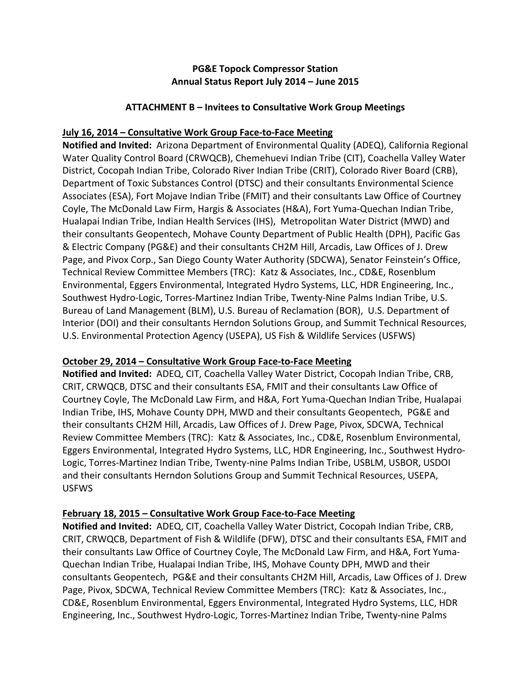# **PG&E Topock Compressor Station Annual Status Report July 2014 – June 2015**

## **ATTACHMENT B – Invitees to Consultative Work Group Meetings**

## **July 16, 2014 – Consultative Work Group Face‐to‐Face Meeting**

 **Notified and Invited:** Arizona Department of Environmental Quality (ADEQ), California Regional Water Quality Control Board (CRWQCB), Chemehuevi Indian Tribe (CIT), Coachella Valley Water District, Cocopah Indian Tribe, Colorado River Indian Tribe (CRIT), Colorado River Board (CRB), Department of Toxic Substances Control (DTSC) and their consultants Environmental Science Associates (ESA), Fort Mojave Indian Tribe (FMIT) and their consultants Law Office of Courtney Coyle, The McDonald Law Firm, Hargis & Associates (H&A), Fort Yuma‐Quechan Indian Tribe, Hualapai Indian Tribe, Indian Health Services (IHS), Metropolitan Water District (MWD) and their consultants Geopentech, Mohave County Department of Public Health (DPH), Pacific Gas & Electric Company (PG&E) and their consultants CH2M Hill, Arcadis, Law Offices of J. Drew Page, and Pivox Corp., San Diego County Water Authority (SDCWA), Senator Feinstein's Office, Technical Review Committee Members (TRC): Katz & Associates, Inc., CD&E, Rosenblum Environmental, Eggers Environmental, Integrated Hydro Systems, LLC, HDR Engineering, Inc., Southwest Hydro‐Logic, Torres‐Martinez Indian Tribe, Twenty‐Nine Palms Indian Tribe, U.S. Bureau of Land Management (BLM), U.S. Bureau of Reclamation (BOR), U.S. Department of Interior (DOI) and their consultants Herndon Solutions Group, and Summit Technical Resources, U.S. Environmental Protection Agency (USEPA), US Fish & Wildlife Services (USFWS)

# **October 29, 2014 – Consultative Work Group Face‐to‐Face Meeting**

 **Notified and Invited:** ADEQ, CIT, Coachella Valley Water District, Cocopah Indian Tribe, CRB, CRIT, CRWQCB, DTSC and their consultants ESA, FMIT and their consultants Law Office of Courtney Coyle, The McDonald Law Firm, and H&A, Fort Yuma‐Quechan Indian Tribe, Hualapai Indian Tribe, IHS, Mohave County DPH, MWD and their consultants Geopentech, PG&E and their consultants CH2M Hill, Arcadis, Law Offices of J. Drew Page, Pivox, SDCWA, Technical Review Committee Members (TRC): Katz & Associates, Inc., CD&E, Rosenblum Environmental, Eggers Environmental, Integrated Hydro Systems, LLC, HDR Engineering, Inc., Southwest Hydro‐ Logic, Torres‐Martinez Indian Tribe, Twenty‐nine Palms Indian Tribe, USBLM, USBOR, USDOI and their consultants Herndon Solutions Group and Summit Technical Resources, USEPA, USFWS

# **February 18, 2015 – Consultative Work Group Face‐to‐Face Meeting**

 **Notified and Invited:** ADEQ, CIT, Coachella Valley Water District, Cocopah Indian Tribe, CRB, CRIT, CRWQCB, Department of Fish & Wildlife (DFW), DTSC and their consultants ESA, FMIT and their consultants Law Office of Courtney Coyle, The McDonald Law Firm, and H&A, Fort Yuma‐ Quechan Indian Tribe, Hualapai Indian Tribe, IHS, Mohave County DPH, MWD and their consultants Geopentech, PG&E and their consultants CH2M Hill, Arcadis, Law Offices of J. Drew Page, Pivox, SDCWA, Technical Review Committee Members (TRC): Katz & Associates, Inc., CD&E, Rosenblum Environmental, Eggers Environmental, Integrated Hydro Systems, LLC, HDR Engineering, Inc., Southwest Hydro‐Logic, Torres‐Martinez Indian Tribe, Twenty‐nine Palms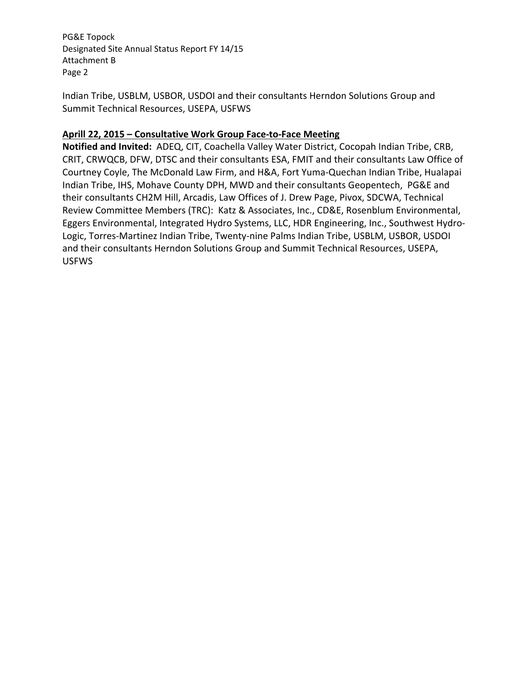Indian Tribe, USBLM, USBOR, USDOI and their consultants Herndon Solutions Group and Summit Technical Resources, USEPA, USFWS

# **Aprill 22, 2015 – Consultative Work Group Face‐to‐Face Meeting**

 **Notified and Invited:** ADEQ, CIT, Coachella Valley Water District, Cocopah Indian Tribe, CRB, CRIT, CRWQCB, DFW, DTSC and their consultants ESA, FMIT and their consultants Law Office of Courtney Coyle, The McDonald Law Firm, and H&A, Fort Yuma‐Quechan Indian Tribe, Hualapai Indian Tribe, IHS, Mohave County DPH, MWD and their consultants Geopentech, PG&E and their consultants CH2M Hill, Arcadis, Law Offices of J. Drew Page, Pivox, SDCWA, Technical Review Committee Members (TRC): Katz & Associates, Inc., CD&E, Rosenblum Environmental, Eggers Environmental, Integrated Hydro Systems, LLC, HDR Engineering, Inc., Southwest Hydro‐ Logic, Torres‐Martinez Indian Tribe, Twenty‐nine Palms Indian Tribe, USBLM, USBOR, USDOI and their consultants Herndon Solutions Group and Summit Technical Resources, USEPA, USFWS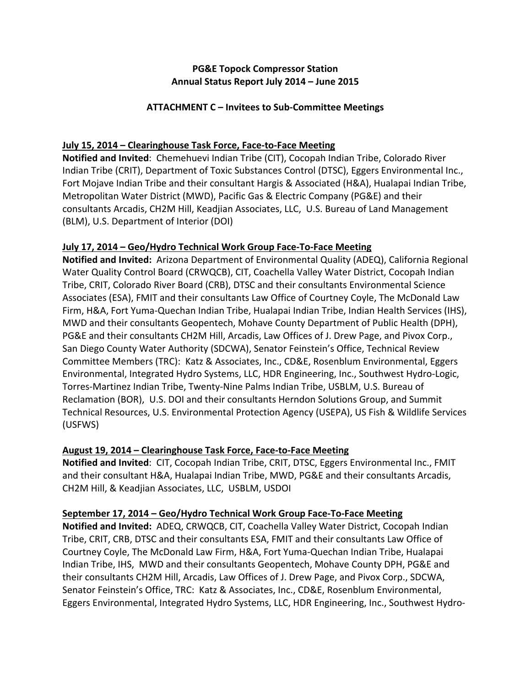# **PG&E Topock Compressor Station Annual Status Report July 2014 – June 2015**

## **ATTACHMENT C – Invitees to Sub‐Committee Meetings**

# **July 15, 2014 – Clearinghouse Task Force, Face‐to‐Face Meeting**

 **Notified and Invited**: Chemehuevi Indian Tribe (CIT), Cocopah Indian Tribe, Colorado River Indian Tribe (CRIT), Department of Toxic Substances Control (DTSC), Eggers Environmental Inc., Fort Mojave Indian Tribe and their consultant Hargis & Associated (H&A), Hualapai Indian Tribe, Metropolitan Water District (MWD), Pacific Gas & Electric Company (PG&E) and their consultants Arcadis, CH2M Hill, Keadjian Associates, LLC, U.S. Bureau of Land Management (BLM), U.S. Department of Interior (DOI)

# **July 17, 2014 – Geo/Hydro Technical Work Group Face‐To‐Face Meeting**

 **Notified and Invited:** Arizona Department of Environmental Quality (ADEQ), California Regional Water Quality Control Board (CRWQCB), CIT, Coachella Valley Water District, Cocopah Indian Tribe, CRIT, Colorado River Board (CRB), DTSC and their consultants Environmental Science Associates (ESA), FMIT and their consultants Law Office of Courtney Coyle, The McDonald Law Firm, H&A, Fort Yuma‐Quechan Indian Tribe, Hualapai Indian Tribe, Indian Health Services (IHS), MWD and their consultants Geopentech, Mohave County Department of Public Health (DPH), PG&E and their consultants CH2M Hill, Arcadis, Law Offices of J. Drew Page, and Pivox Corp., San Diego County Water Authority (SDCWA), Senator Feinstein's Office, Technical Review Committee Members (TRC): Katz & Associates, Inc., CD&E, Rosenblum Environmental, Eggers Environmental, Integrated Hydro Systems, LLC, HDR Engineering, Inc., Southwest Hydro‐Logic, Torres‐Martinez Indian Tribe, Twenty‐Nine Palms Indian Tribe, USBLM, U.S. Bureau of Reclamation (BOR), U.S. DOI and their consultants Herndon Solutions Group, and Summit Technical Resources, U.S. Environmental Protection Agency (USEPA), US Fish & Wildlife Services (USFWS)

# **August 19, 2014 – Clearinghouse Task Force, Face‐to‐Face Meeting**

 **Notified and Invited**: CIT, Cocopah Indian Tribe, CRIT, DTSC, Eggers Environmental Inc., FMIT and their consultant H&A, Hualapai Indian Tribe, MWD, PG&E and their consultants Arcadis, CH2M Hill, & Keadjian Associates, LLC, USBLM, USDOI

## **September 17, 2014 – Geo/Hydro Technical Work Group Face‐To‐Face Meeting**

 **Notified and Invited:** ADEQ, CRWQCB, CIT, Coachella Valley Water District, Cocopah Indian Tribe, CRIT, CRB, DTSC and their consultants ESA, FMIT and their consultants Law Office of Courtney Coyle, The McDonald Law Firm, H&A, Fort Yuma‐Quechan Indian Tribe, Hualapai Indian Tribe, IHS, MWD and their consultants Geopentech, Mohave County DPH, PG&E and their consultants CH2M Hill, Arcadis, Law Offices of J. Drew Page, and Pivox Corp., SDCWA, Senator Feinstein's Office, TRC: Katz & Associates, Inc., CD&E, Rosenblum Environmental, Eggers Environmental, Integrated Hydro Systems, LLC, HDR Engineering, Inc., Southwest Hydro‐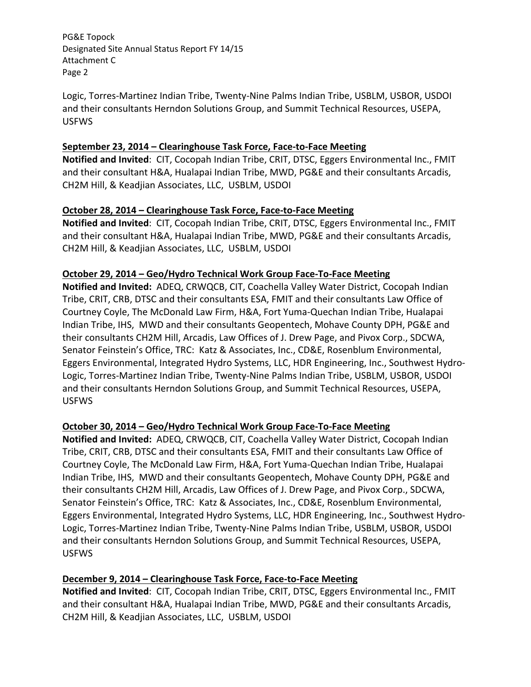Logic, Torres‐Martinez Indian Tribe, Twenty‐Nine Palms Indian Tribe, USBLM, USBOR, USDOI and their consultants Herndon Solutions Group, and Summit Technical Resources, USEPA, USFWS

## **September 23, 2014 – Clearinghouse Task Force, Face‐to‐Face Meeting**

 **Notified and Invited**: CIT, Cocopah Indian Tribe, CRIT, DTSC, Eggers Environmental Inc., FMIT and their consultant H&A, Hualapai Indian Tribe, MWD, PG&E and their consultants Arcadis, CH2M Hill, & Keadjian Associates, LLC, USBLM, USDOI

# **October 28, 2014 – Clearinghouse Task Force, Face‐to‐Face Meeting**

 **Notified and Invited**: CIT, Cocopah Indian Tribe, CRIT, DTSC, Eggers Environmental Inc., FMIT and their consultant H&A, Hualapai Indian Tribe, MWD, PG&E and their consultants Arcadis, CH2M Hill, & Keadjian Associates, LLC, USBLM, USDOI

# **October 29, 2014 – Geo/Hydro Technical Work Group Face‐To‐Face Meeting**

 **Notified and Invited:** ADEQ, CRWQCB, CIT, Coachella Valley Water District, Cocopah Indian Tribe, CRIT, CRB, DTSC and their consultants ESA, FMIT and their consultants Law Office of Courtney Coyle, The McDonald Law Firm, H&A, Fort Yuma‐Quechan Indian Tribe, Hualapai Indian Tribe, IHS, MWD and their consultants Geopentech, Mohave County DPH, PG&E and their consultants CH2M Hill, Arcadis, Law Offices of J. Drew Page, and Pivox Corp., SDCWA, Senator Feinstein's Office, TRC: Katz & Associates, Inc., CD&E, Rosenblum Environmental, Eggers Environmental, Integrated Hydro Systems, LLC, HDR Engineering, Inc., Southwest Hydro‐ Logic, Torres‐Martinez Indian Tribe, Twenty‐Nine Palms Indian Tribe, USBLM, USBOR, USDOI and their consultants Herndon Solutions Group, and Summit Technical Resources, USEPA, USFWS

# **October 30, 2014 – Geo/Hydro Technical Work Group Face‐To‐Face Meeting**

 **Notified and Invited:** ADEQ, CRWQCB, CIT, Coachella Valley Water District, Cocopah Indian Tribe, CRIT, CRB, DTSC and their consultants ESA, FMIT and their consultants Law Office of Courtney Coyle, The McDonald Law Firm, H&A, Fort Yuma‐Quechan Indian Tribe, Hualapai Indian Tribe, IHS, MWD and their consultants Geopentech, Mohave County DPH, PG&E and their consultants CH2M Hill, Arcadis, Law Offices of J. Drew Page, and Pivox Corp., SDCWA, Senator Feinstein's Office, TRC: Katz & Associates, Inc., CD&E, Rosenblum Environmental, Eggers Environmental, Integrated Hydro Systems, LLC, HDR Engineering, Inc., Southwest Hydro‐ Logic, Torres‐Martinez Indian Tribe, Twenty‐Nine Palms Indian Tribe, USBLM, USBOR, USDOI and their consultants Herndon Solutions Group, and Summit Technical Resources, USEPA, USFWS

## **December 9, 2014 – Clearinghouse Task Force, Face‐to‐Face Meeting**

 **Notified and Invited**: CIT, Cocopah Indian Tribe, CRIT, DTSC, Eggers Environmental Inc., FMIT and their consultant H&A, Hualapai Indian Tribe, MWD, PG&E and their consultants Arcadis, CH2M Hill, & Keadjian Associates, LLC, USBLM, USDOI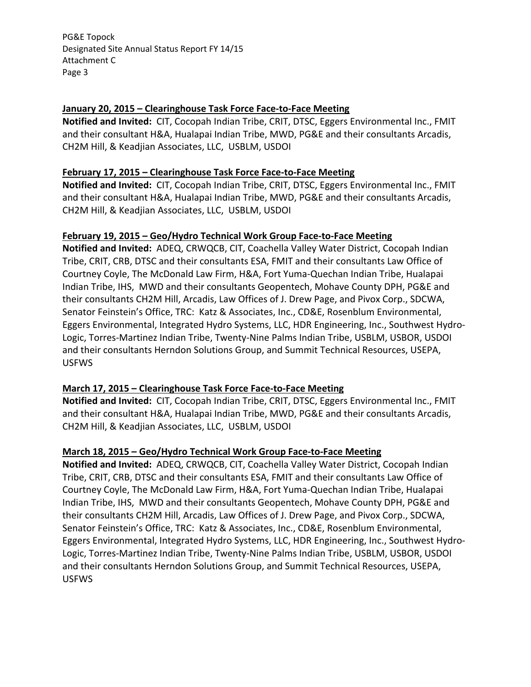## **January 20, 2015 – Clearinghouse Task Force Face‐to‐Face Meeting**

 **Notified and Invited:** CIT, Cocopah Indian Tribe, CRIT, DTSC, Eggers Environmental Inc., FMIT and their consultant H&A, Hualapai Indian Tribe, MWD, PG&E and their consultants Arcadis, CH2M Hill, & Keadjian Associates, LLC, USBLM, USDOI

### **February 17, 2015 – Clearinghouse Task Force Face‐to‐Face Meeting**

 **Notified and Invited:** CIT, Cocopah Indian Tribe, CRIT, DTSC, Eggers Environmental Inc., FMIT and their consultant H&A, Hualapai Indian Tribe, MWD, PG&E and their consultants Arcadis, CH2M Hill, & Keadjian Associates, LLC, USBLM, USDOI

### **February 19, 2015 – Geo/Hydro Technical Work Group Face‐to‐Face Meeting**

 **Notified and Invited:** ADEQ, CRWQCB, CIT, Coachella Valley Water District, Cocopah Indian Tribe, CRIT, CRB, DTSC and their consultants ESA, FMIT and their consultants Law Office of Courtney Coyle, The McDonald Law Firm, H&A, Fort Yuma‐Quechan Indian Tribe, Hualapai Indian Tribe, IHS, MWD and their consultants Geopentech, Mohave County DPH, PG&E and their consultants CH2M Hill, Arcadis, Law Offices of J. Drew Page, and Pivox Corp., SDCWA, Senator Feinstein's Office, TRC: Katz & Associates, Inc., CD&E, Rosenblum Environmental, Eggers Environmental, Integrated Hydro Systems, LLC, HDR Engineering, Inc., Southwest Hydro‐ Logic, Torres‐Martinez Indian Tribe, Twenty‐Nine Palms Indian Tribe, USBLM, USBOR, USDOI and their consultants Herndon Solutions Group, and Summit Technical Resources, USEPA, USFWS

### **March 17, 2015 – Clearinghouse Task Force Face‐to‐Face Meeting**

 **Notified and Invited:** CIT, Cocopah Indian Tribe, CRIT, DTSC, Eggers Environmental Inc., FMIT and their consultant H&A, Hualapai Indian Tribe, MWD, PG&E and their consultants Arcadis, CH2M Hill, & Keadjian Associates, LLC, USBLM, USDOI

### **March 18, 2015 – Geo/Hydro Technical Work Group Face‐to‐Face Meeting**

 **Notified and Invited:** ADEQ, CRWQCB, CIT, Coachella Valley Water District, Cocopah Indian Tribe, CRIT, CRB, DTSC and their consultants ESA, FMIT and their consultants Law Office of Courtney Coyle, The McDonald Law Firm, H&A, Fort Yuma‐Quechan Indian Tribe, Hualapai Indian Tribe, IHS, MWD and their consultants Geopentech, Mohave County DPH, PG&E and their consultants CH2M Hill, Arcadis, Law Offices of J. Drew Page, and Pivox Corp., SDCWA, Senator Feinstein's Office, TRC: Katz & Associates, Inc., CD&E, Rosenblum Environmental, Eggers Environmental, Integrated Hydro Systems, LLC, HDR Engineering, Inc., Southwest Hydro‐ Logic, Torres‐Martinez Indian Tribe, Twenty‐Nine Palms Indian Tribe, USBLM, USBOR, USDOI and their consultants Herndon Solutions Group, and Summit Technical Resources, USEPA, USFWS